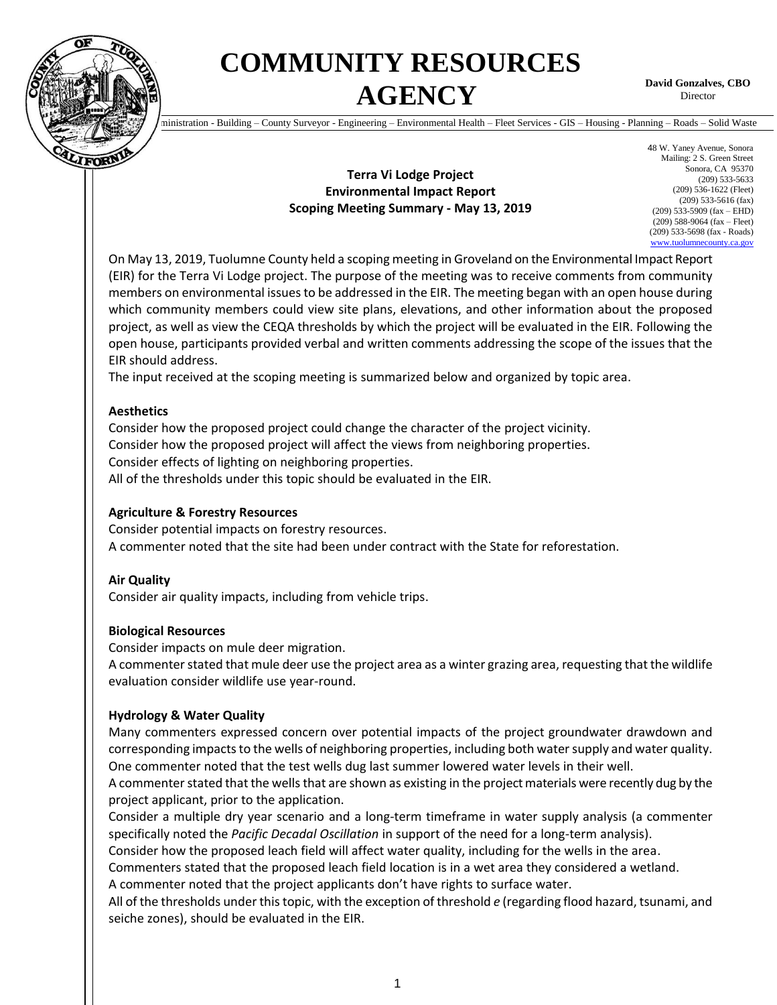

# **COMMUNITY RESOURCES AGENCY**

**David Gonzalves, CBO Director** 

Administration - Building – County Surveyor - Engineering – Environmental Health – Fleet Services - GIS – Housing - Planning – Roads – Solid Waste

# **Terra Vi Lodge Project Environmental Impact Report Scoping Meeting Summary - May 13, 2019**

48 W. Yaney Avenue, Sonora Mailing: 2 S. Green Street Sonora, CA 95370 (209) 533-5633 (209) 536-1622 (Fleet) (209) 533-5616 (fax) (209) 533-5909 (fax – EHD) (209) 588-9064 (fax – Fleet) (209) 533-5698 (fax - Roads) [www.tuolumnecounty.ca.gov](http://www.tuolumnecounty.ca.gov/)

On May 13, 2019, Tuolumne County held a scoping meeting in Groveland on the Environmental Impact Report (EIR) for the Terra Vi Lodge project. The purpose of the meeting was to receive comments from community members on environmental issues to be addressed in the EIR. The meeting began with an open house during which community members could view site plans, elevations, and other information about the proposed project, as well as view the CEQA thresholds by which the project will be evaluated in the EIR. Following the open house, participants provided verbal and written comments addressing the scope of the issues that the EIR should address.

The input received at the scoping meeting is summarized below and organized by topic area.

#### **Aesthetics**

Consider how the proposed project could change the character of the project vicinity. Consider how the proposed project will affect the views from neighboring properties. Consider effects of lighting on neighboring properties. All of the thresholds under this topic should be evaluated in the EIR.

# **Agriculture & Forestry Resources**

Consider potential impacts on forestry resources. A commenter noted that the site had been under contract with the State for reforestation.

#### **Air Quality**

Consider air quality impacts, including from vehicle trips.

#### **Biological Resources**

Consider impacts on mule deer migration.

A commenter stated that mule deer use the project area as a winter grazing area, requesting that the wildlife evaluation consider wildlife use year-round.

# **Hydrology & Water Quality**

Many commenters expressed concern over potential impacts of the project groundwater drawdown and corresponding impacts to the wells of neighboring properties, including both water supply and water quality. One commenter noted that the test wells dug last summer lowered water levels in their well.

A commenter stated that the wells that are shown as existing in the project materials were recently dug by the project applicant, prior to the application.

Consider a multiple dry year scenario and a long-term timeframe in water supply analysis (a commenter specifically noted the *Pacific Decadal Oscillation* in support of the need for a long-term analysis).

Consider how the proposed leach field will affect water quality, including for the wells in the area.

Commenters stated that the proposed leach field location is in a wet area they considered a wetland. A commenter noted that the project applicants don't have rights to surface water.

All of the thresholds under this topic, with the exception of threshold *e* (regarding flood hazard, tsunami, and seiche zones), should be evaluated in the EIR.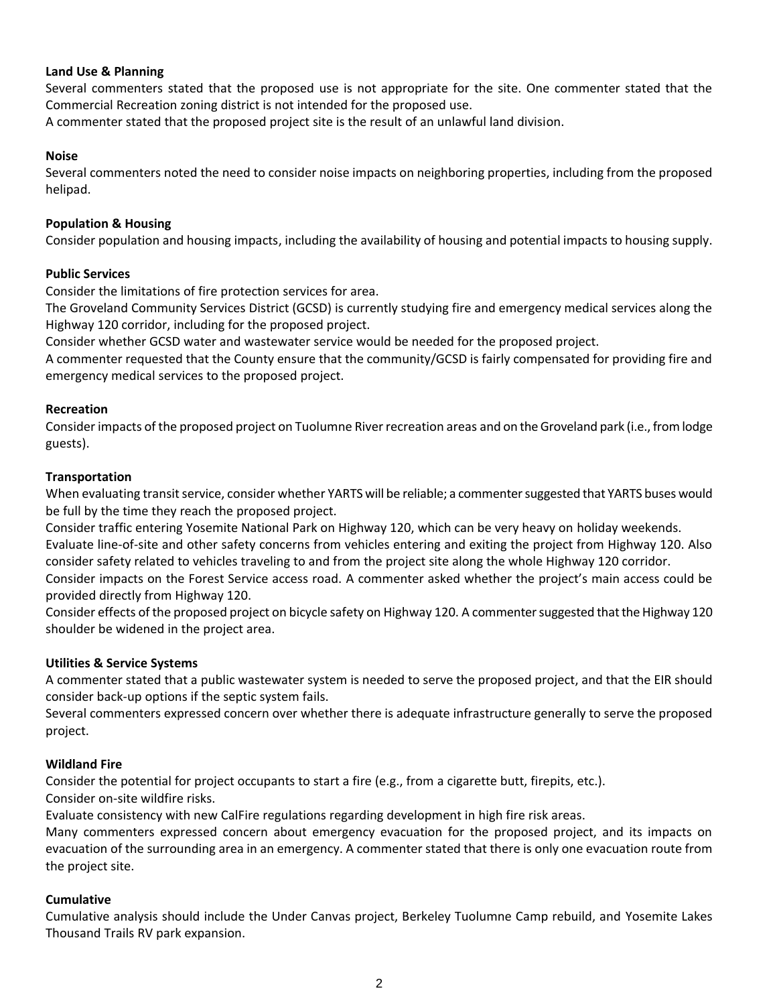# **Land Use & Planning**

Several commenters stated that the proposed use is not appropriate for the site. One commenter stated that the Commercial Recreation zoning district is not intended for the proposed use.

A commenter stated that the proposed project site is the result of an unlawful land division.

# **Noise**

Several commenters noted the need to consider noise impacts on neighboring properties, including from the proposed helipad.

#### **Population & Housing**

Consider population and housing impacts, including the availability of housing and potential impacts to housing supply.

# **Public Services**

Consider the limitations of fire protection services for area.

The Groveland Community Services District (GCSD) is currently studying fire and emergency medical services along the Highway 120 corridor, including for the proposed project.

Consider whether GCSD water and wastewater service would be needed for the proposed project.

A commenter requested that the County ensure that the community/GCSD is fairly compensated for providing fire and emergency medical services to the proposed project.

#### **Recreation**

Consider impacts of the proposed project on Tuolumne River recreation areas and on the Groveland park (i.e., from lodge guests).

#### **Transportation**

When evaluating transit service, consider whether YARTS will be reliable; a commenter suggested that YARTS buses would be full by the time they reach the proposed project.

Consider traffic entering Yosemite National Park on Highway 120, which can be very heavy on holiday weekends. Evaluate line-of-site and other safety concerns from vehicles entering and exiting the project from Highway 120. Also consider safety related to vehicles traveling to and from the project site along the whole Highway 120 corridor. Consider impacts on the Forest Service access road. A commenter asked whether the project's main access could be provided directly from Highway 120.

Consider effects of the proposed project on bicycle safety on Highway 120. A commenter suggested that the Highway 120 shoulder be widened in the project area.

# **Utilities & Service Systems**

A commenter stated that a public wastewater system is needed to serve the proposed project, and that the EIR should consider back-up options if the septic system fails.

Several commenters expressed concern over whether there is adequate infrastructure generally to serve the proposed project.

# **Wildland Fire**

Consider the potential for project occupants to start a fire (e.g., from a cigarette butt, firepits, etc.). Consider on-site wildfire risks.

Evaluate consistency with new CalFire regulations regarding development in high fire risk areas.

Many commenters expressed concern about emergency evacuation for the proposed project, and its impacts on evacuation of the surrounding area in an emergency. A commenter stated that there is only one evacuation route from the project site.

# **Cumulative**

Cumulative analysis should include the Under Canvas project, Berkeley Tuolumne Camp rebuild, and Yosemite Lakes Thousand Trails RV park expansion.